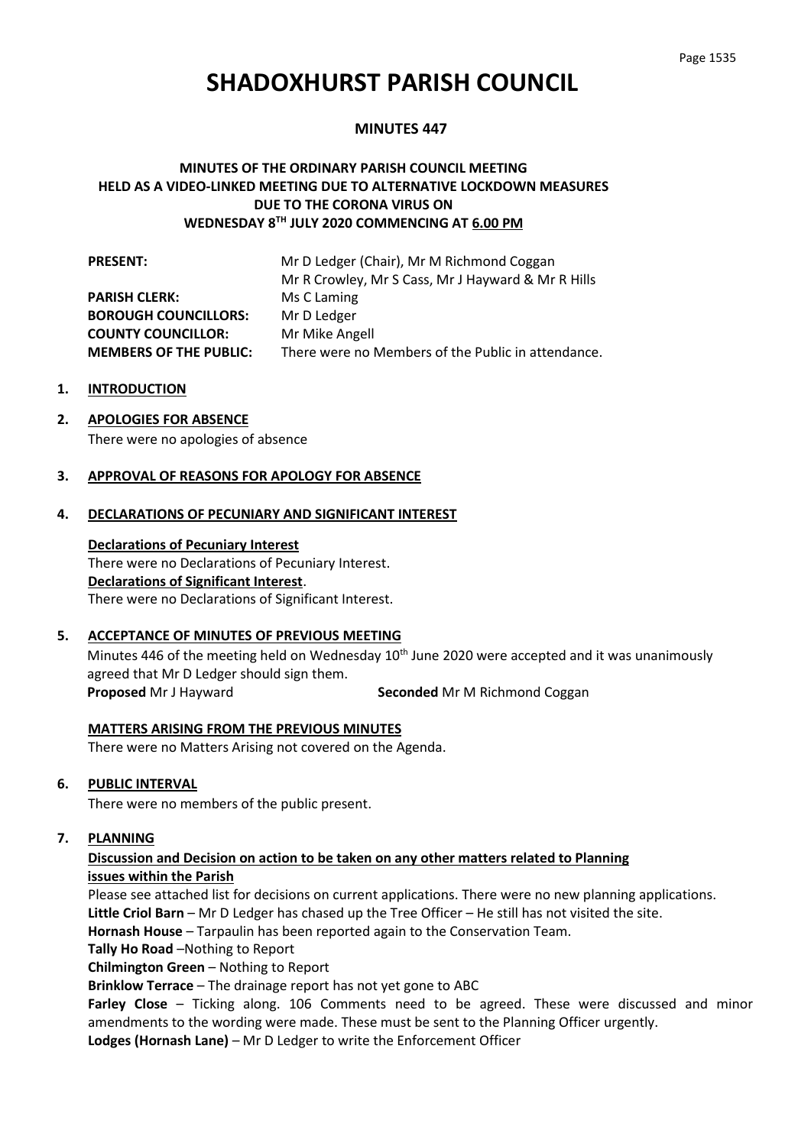Page 1535

# **SHADOXHURST PARISH COUNCIL**

## **MINUTES 447**

## **MINUTES OF THE ORDINARY PARISH COUNCIL MEETING HELD AS A VIDEO-LINKED MEETING DUE TO ALTERNATIVE LOCKDOWN MEASURES DUE TO THE CORONA VIRUS ON WEDNESDAY 8 TH JULY 2020 COMMENCING AT 6.00 PM**

| <b>PRESENT:</b>               | Mr D Ledger (Chair), Mr M Richmond Coggan          |
|-------------------------------|----------------------------------------------------|
|                               | Mr R Crowley, Mr S Cass, Mr J Hayward & Mr R Hills |
| <b>PARISH CLERK:</b>          | Ms C Laming                                        |
| <b>BOROUGH COUNCILLORS:</b>   | Mr D Ledger                                        |
| <b>COUNTY COUNCILLOR:</b>     | Mr Mike Angell                                     |
| <b>MEMBERS OF THE PUBLIC:</b> | There were no Members of the Public in attendance. |

## **1. INTRODUCTION**

**2. APOLOGIES FOR ABSENCE** There were no apologies of absence

## **3. APPROVAL OF REASONS FOR APOLOGY FOR ABSENCE**

## **4. DECLARATIONS OF PECUNIARY AND SIGNIFICANT INTEREST**

## **Declarations of Pecuniary Interest**

There were no Declarations of Pecuniary Interest. **Declarations of Significant Interest**. There were no Declarations of Significant Interest.

## **5. ACCEPTANCE OF MINUTES OF PREVIOUS MEETING**

Minutes 446 of the meeting held on Wednesday 10<sup>th</sup> June 2020 were accepted and it was unanimously agreed that Mr D Ledger should sign them. **Proposed** Mr J Hayward **Seconded** Mr M Richmond Coggan

**MATTERS ARISING FROM THE PREVIOUS MINUTES**

There were no Matters Arising not covered on the Agenda.

#### **6. PUBLIC INTERVAL**

There were no members of the public present.

#### **7. PLANNING**

## **Discussion and Decision on action to be taken on any other matters related to Planning issues within the Parish**

Please see attached list for decisions on current applications. There were no new planning applications. **Little Criol Barn** – Mr D Ledger has chased up the Tree Officer – He still has not visited the site.

**Hornash House** – Tarpaulin has been reported again to the Conservation Team.

**Tally Ho Road** –Nothing to Report

**Chilmington Green** – Nothing to Report

**Brinklow Terrace** – The drainage report has not yet gone to ABC

**Farley Close** – Ticking along. 106 Comments need to be agreed. These were discussed and minor amendments to the wording were made. These must be sent to the Planning Officer urgently. **Lodges (Hornash Lane)** – Mr D Ledger to write the Enforcement Officer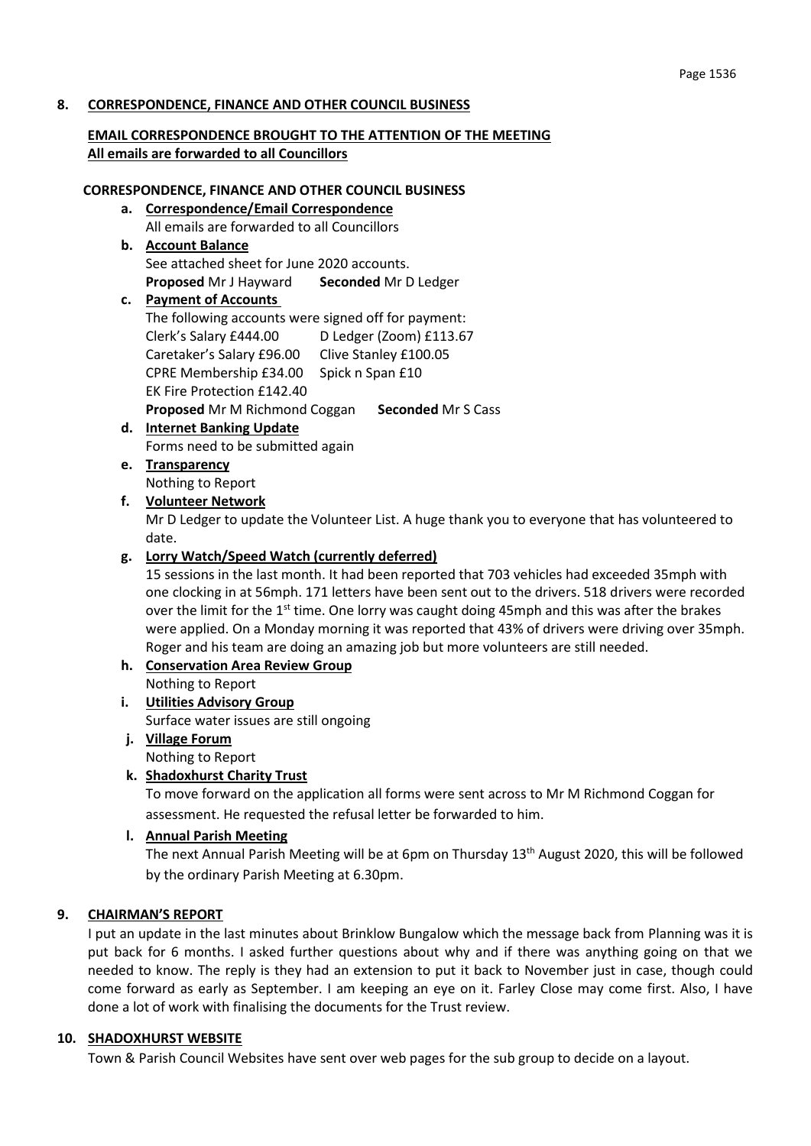#### **8. CORRESPONDENCE, FINANCE AND OTHER COUNCIL BUSINESS**

## **EMAIL CORRESPONDENCE BROUGHT TO THE ATTENTION OF THE MEETING All emails are forwarded to all Councillors**

#### **CORRESPONDENCE, FINANCE AND OTHER COUNCIL BUSINESS**

- **a. Correspondence/Email Correspondence**  All emails are forwarded to all Councillors
- **b. Account Balance**  See attached sheet for June 2020 accounts. **Proposed** Mr J Hayward **Seconded** Mr D Ledger

## **c. Payment of Accounts**

The following accounts were signed off for payment: Clerk's Salary £444.00 D Ledger (Zoom) £113.67 Caretaker's Salary £96.00 Clive Stanley £100.05 CPRE Membership £34.00 Spick n Span £10 EK Fire Protection £142.40 **Proposed** Mr M Richmond Coggan **Seconded** Mr S Cass

- **d. Internet Banking Update** Forms need to be submitted again
- **e. Transparency** Nothing to Report
- **f. Volunteer Network**

Mr D Ledger to update the Volunteer List. A huge thank you to everyone that has volunteered to date.

## **g. Lorry Watch/Speed Watch (currently deferred)**

15 sessions in the last month. It had been reported that 703 vehicles had exceeded 35mph with one clocking in at 56mph. 171 letters have been sent out to the drivers. 518 drivers were recorded over the limit for the  $1<sup>st</sup>$  time. One lorry was caught doing 45mph and this was after the brakes were applied. On a Monday morning it was reported that 43% of drivers were driving over 35mph. Roger and his team are doing an amazing job but more volunteers are still needed.

# **h. Conservation Area Review Group**

Nothing to Report

- **i. Utilities Advisory Group** Surface water issues are still ongoing
- **j. Village Forum**

Nothing to Report

## **k. Shadoxhurst Charity Trust**

To move forward on the application all forms were sent across to Mr M Richmond Coggan for assessment. He requested the refusal letter be forwarded to him.

**l. Annual Parish Meeting**

The next Annual Parish Meeting will be at 6pm on Thursday 13<sup>th</sup> August 2020, this will be followed by the ordinary Parish Meeting at 6.30pm.

## **9. CHAIRMAN'S REPORT**

I put an update in the last minutes about Brinklow Bungalow which the message back from Planning was it is put back for 6 months. I asked further questions about why and if there was anything going on that we needed to know. The reply is they had an extension to put it back to November just in case, though could come forward as early as September. I am keeping an eye on it. Farley Close may come first. Also, I have done a lot of work with finalising the documents for the Trust review.

#### **10. SHADOXHURST WEBSITE**

Town & Parish Council Websites have sent over web pages for the sub group to decide on a layout.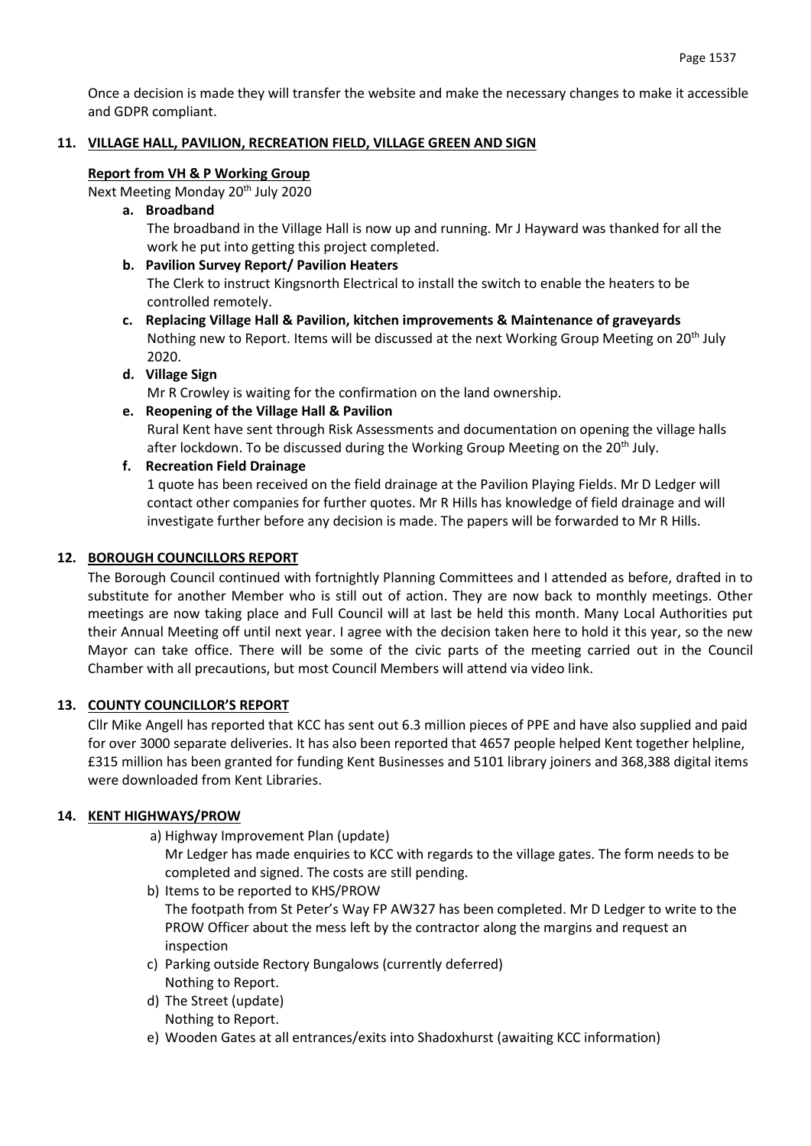Once a decision is made they will transfer the website and make the necessary changes to make it accessible and GDPR compliant.

#### **11. VILLAGE HALL, PAVILION, RECREATION FIELD, VILLAGE GREEN AND SIGN**

#### **Report from VH & P Working Group**

Next Meeting Monday 20<sup>th</sup> July 2020

- **a. Broadband** The broadband in the Village Hall is now up and running. Mr J Hayward was thanked for all the work he put into getting this project completed.
- **b. Pavilion Survey Report/ Pavilion Heaters**

The Clerk to instruct Kingsnorth Electrical to install the switch to enable the heaters to be controlled remotely.

- **c. Replacing Village Hall & Pavilion, kitchen improvements & Maintenance of graveyards** Nothing new to Report. Items will be discussed at the next Working Group Meeting on 20<sup>th</sup> July 2020.
- **d. Village Sign**

Mr R Crowley is waiting for the confirmation on the land ownership.

**e. Reopening of the Village Hall & Pavilion**

Rural Kent have sent through Risk Assessments and documentation on opening the village halls after lockdown. To be discussed during the Working Group Meeting on the 20<sup>th</sup> July.

#### **f. Recreation Field Drainage**

1 quote has been received on the field drainage at the Pavilion Playing Fields. Mr D Ledger will contact other companies for further quotes. Mr R Hills has knowledge of field drainage and will investigate further before any decision is made. The papers will be forwarded to Mr R Hills.

#### **12. BOROUGH COUNCILLORS REPORT**

The Borough Council continued with fortnightly Planning Committees and I attended as before, drafted in to substitute for another Member who is still out of action. They are now back to monthly meetings. Other meetings are now taking place and Full Council will at last be held this month. Many Local Authorities put their Annual Meeting off until next year. I agree with the decision taken here to hold it this year, so the new Mayor can take office. There will be some of the civic parts of the meeting carried out in the Council Chamber with all precautions, but most Council Members will attend via video link.

#### **13. COUNTY COUNCILLOR'S REPORT**

Cllr Mike Angell has reported that KCC has sent out 6.3 million pieces of PPE and have also supplied and paid for over 3000 separate deliveries. It has also been reported that 4657 people helped Kent together helpline, £315 million has been granted for funding Kent Businesses and 5101 library joiners and 368,388 digital items were downloaded from Kent Libraries.

#### **14. KENT HIGHWAYS/PROW**

- a) Highway Improvement Plan (update)
	- Mr Ledger has made enquiries to KCC with regards to the village gates. The form needs to be completed and signed. The costs are still pending.
- b) Items to be reported to KHS/PROW The footpath from St Peter's Way FP AW327 has been completed. Mr D Ledger to write to the PROW Officer about the mess left by the contractor along the margins and request an inspection
- c) Parking outside Rectory Bungalows (currently deferred) Nothing to Report.
- d) The Street (update) Nothing to Report.
- e) Wooden Gates at all entrances/exits into Shadoxhurst (awaiting KCC information)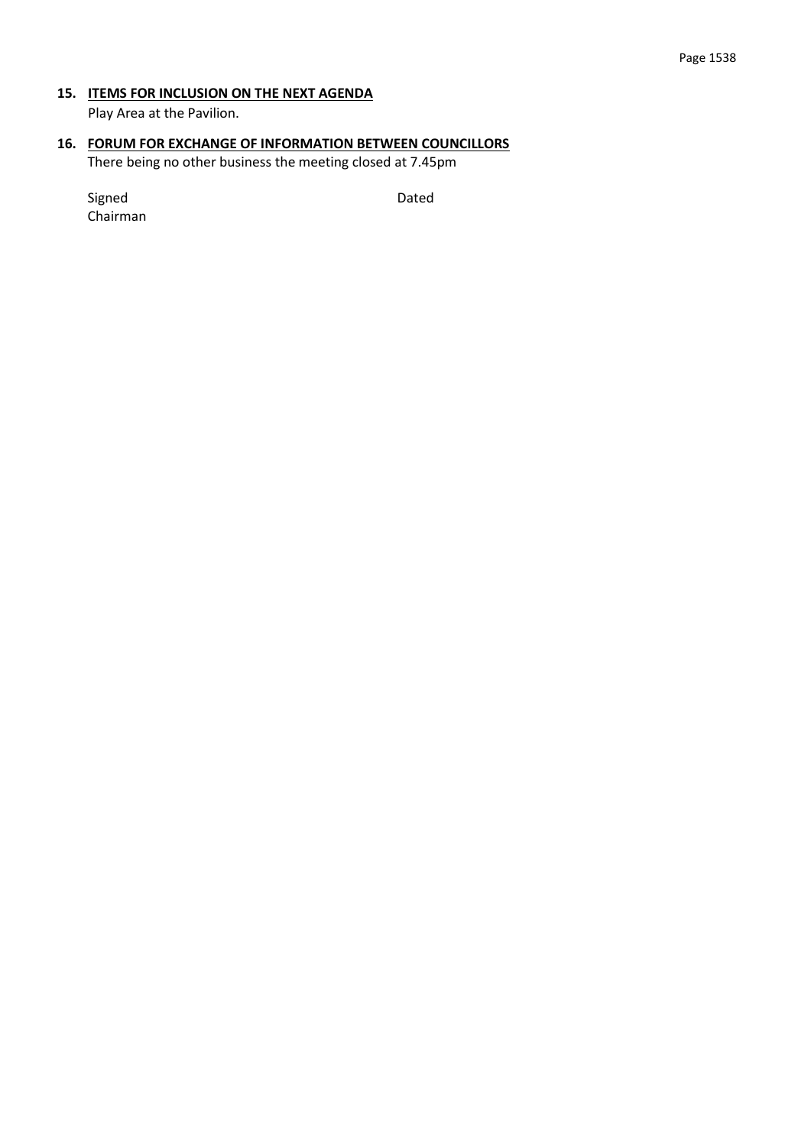## **15. ITEMS FOR INCLUSION ON THE NEXT AGENDA**

Play Area at the Pavilion.

## **16. FORUM FOR EXCHANGE OF INFORMATION BETWEEN COUNCILLORS**

There being no other business the meeting closed at 7.45pm

Signed **Dated Dated** Chairman